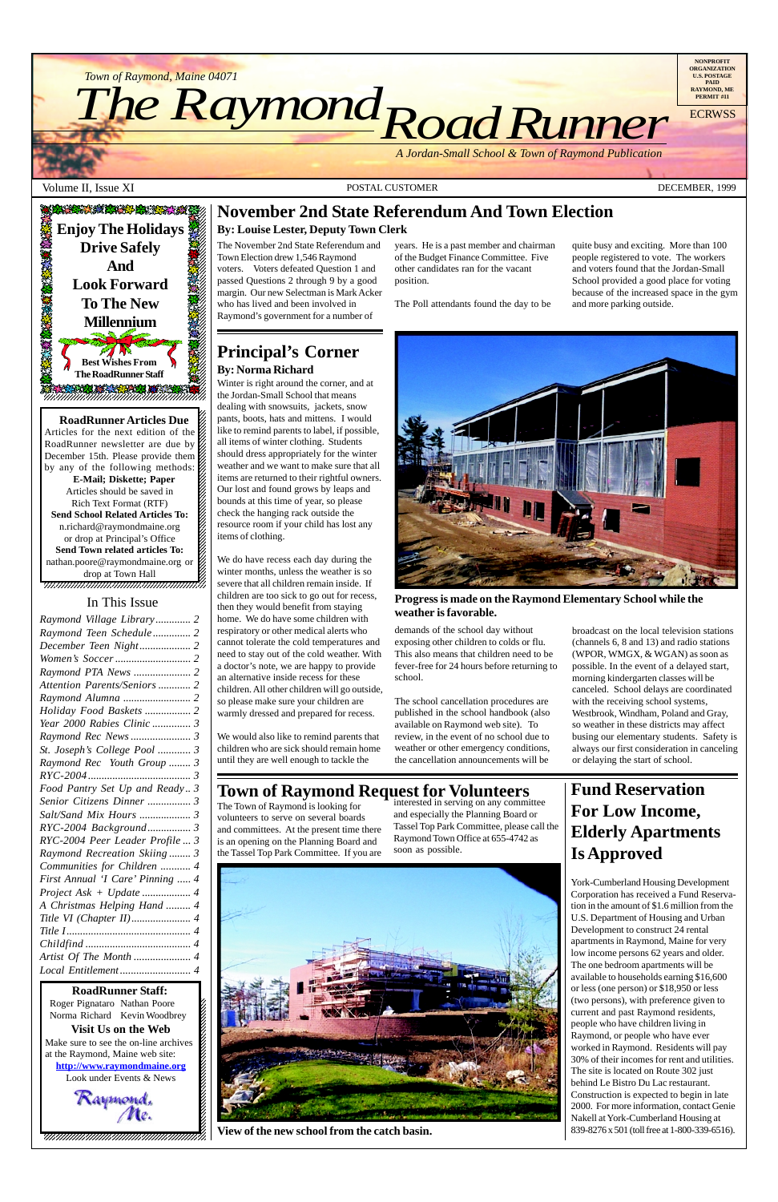

*Road Runner Town of Raymond, Maine 04071*<br>The Raymond Constant

**RoadRunner Articles Due**  $1235678901234567890123456789012345678901234567890123456789012345678901234567890123456789012345678901234567890123456789012345678901234567890123456789012345678901234567890123456789012345678901234567890123456789012345678901$ Articles for the next edition of the  $\%$ RoadRunner newsletter are due by  $\mathbb Z$ December 15th. Please provide them  $\%$  $1235678901234567890123456789012345678901234567890123456789012345678901234567890123456789012345678901234567890123456789012345678901234567890123456789012345678901234567890123456789012345678901234567890123456789012345678901$ by any of the following methods:  $\mathscr{G}$ **E-Mail; Diskette; Paper** 12345678901234567890123456789012123456789012345678 Articles should be saved in  $\%$ Rich Text Format (RTF) 12345678901234567890123456789012123456789012345678 **Send School Related Articles To:**  $n.richard@raymondmaine.org$ or drop at Principal's Office  $\mathscr{L}$  $1235678901234567890123456789012345678901234567890123456789012345678901234567890123456789012345678901234567890123456789012345678901234567890123456789012345678901234567890123456789012345678901234567890123456789012345678901$ **Send Town related articles To:** nathan.poore@raymondmaine.org or  $\mathscr{D}$ 12345678901234567890123456789012123456789012345678 drop at Town Hall  $\mathscr{C}$ 

12345678901234567890123456789012345678901234567890123456789012345678901234567890123456789012345678901234567890 12345678901234567890123456789012123456789012345678

*Town of Raymond, Maine 04071*

*A Jordan-Small School & Town of Raymond Publication*

Volume II, Issue XI **POSTAL CUSTOMER** POSTAL CUSTOMER **POSTAL CUSTOMER DECEMBER**, 1999

12345678901234567890123456789012123456789012345678 12345678901234567890123456789012123456789012345678  $18.8$  8  $\pm$  8  $\pm$  8  $\pm$  8  $\pm$  8  $\pm$  8  $\pm$  8  $\pm$  8  $\pm$  8  $\pm$  8  $\pm$  8  $\pm$  8  $\pm$  8  $\pm$  8  $\pm$  8  $\pm$  8  $\pm$  8  $\pm$  8  $\pm$  8  $\pm$  8  $\pm$  8  $\pm$  8  $\pm$  8  $\pm$  8  $\pm$  8  $\pm$  8  $\pm$  8  $\pm$  8  $\pm$  8  $\pm$  8  $\pm$  8  $\$ 12345678901234567890123456789012123456789012345678 , 123456789123456789123456789123456789123456789123



**NONPROFIT ORGANIZATION U.S. POSTAGE PAID RAYMOND, ME PERMIT #11 ECRWSS** 

#### 12345678901234567890123456789012345678901234567890123456789012345678901234567890123456789012345678901234567890 Roger Pignataro Nathan Poore & 12345678901234567890123456789012123456789012345678 Norma Richard Kevin Woodbrey  $\frac{2}{3}$  $18.8$  8  $\pm$  8  $\pm$  8  $\pm$  8  $\pm$  8  $\pm$  8  $\pm$  8  $\pm$  8  $\pm$  8  $\pm$  8  $\pm$  8  $\pm$  8  $\pm$  8  $\pm$  8  $\pm$  8  $\pm$  8  $\pm$  8  $\pm$  8  $\pm$  8  $\pm$  8  $\pm$  8  $\pm$  8  $\pm$  8  $\pm$  8  $\pm$  8  $\pm$  8  $\pm$  8  $\pm$  8  $\pm$  8  $\pm$  8  $\pm$  8  $\$ **Visit Us on the Web**  $1235678901234567890123456789012345678901234567890123456789012345678901234567890123456789012345678901234567890123456789012345678901234567890123456789012345678901234567890123456789012345678901234567890123456789012345678901$ Make sure to see the on-line archives  $\%$ at the Raymond, Maine web site:  $\&$ 12345678901234567890123456789012123456789012345678 **http://www.raymondmaine.org** Look under Events  $&$  News 12345678901234567890123456789012123456789012345678 12345678901234567890123456789012123456789012345678 Raymond.<br>Me. **RoadRunner Staff:**

12345678901234567890123456789012123456789012345678 12345678901234567890123456789012123456789012345678

## **Principal's Corner By: Norma Richard**

Winter is right around the corner, and at the Jordan-Small School that means dealing with snowsuits, jackets, snow pants, boots, hats and mittens. I would like to remind parents to label, if possible, all items of winter clothing. Students should dress appropriately for the winter weather and we want to make sure that all items are returned to their rightful owners. Our lost and found grows by leaps and bounds at this time of year, so please check the hanging rack outside the resource room if your child has lost any items of clothing.

We do have recess each day during the winter months, unless the weather is so severe that all children remain inside. If children are too sick to go out for recess, then they would benefit from staying home. We do have some children with respiratory or other medical alerts who cannot tolerate the cold temperatures and need to stay out of the cold weather. With a doctor's note, we are happy to provide an alternative inside recess for these children. All other children will go outside, so please make sure your children are warmly dressed and prepared for recess.

We would also like to remind parents that children who are sick should remain home until they are well enough to tackle the

demands of the school day without exposing other children to colds or flu. This also means that children need to be fever-free for 24 hours before returning to school.

The school cancellation procedures are published in the school handbook (also available on Raymond web site). To review, in the event of no school due to weather or other emergency conditions, the cancellation announcements will be

broadcast on the local television stations (channels 6, 8 and 13) and radio stations (WPOR, WMGX, & WGAN) as soon as possible. In the event of a delayed start, morning kindergarten classes will be canceled. School delays are coordinated with the receiving school systems, Westbrook, Windham, Poland and Gray, so weather in these districts may affect busing our elementary students. Safety is always our first consideration in canceling or delaying the start of school.

## **November 2nd State Referendum And Town Election**

#### **By: Louise Lester, Deputy Town Clerk**

The November 2nd State Referendum and Town Election drew 1,546 Raymond voters. Voters defeated Question 1 and passed Questions 2 through 9 by a good margin. Our new Selectman is Mark Acker who has lived and been involved in Raymond's government for a number of

years. He is a past member and chairman of the Budget Finance Committee. Five other candidates ran for the vacant position.

The Poll attendants found the day to be

quite busy and exciting. More than 100 people registered to vote. The workers and voters found that the Jordan-Small School provided a good place for voting because of the increased space in the gym and more parking outside.



**Progress is made on the Raymond Elementary School while the weather is favorable.**

**Town of Raymond Request for Volunteers**

The Town of Raymond is looking for volunteers to serve on several boards and committees. At the present time there is an opening on the Planning Board and the Tassel Top Park Committee. If you are

interested in serving on any committee and especially the Planning Board or Tassel Top Park Committee, please call the Raymond Town Office at 655-4742 as

soon as possible.

**View of the new school from the catch basin.**

## **Fund Reservation For Low Income, Elderly Apartments Is Approved**

#### York-Cumberland Housing Development

Corporation has received a Fund Reservation in the amount of \$1.6 million from the U.S. Department of Housing and Urban Development to construct 24 rental apartments in Raymond, Maine for very low income persons 62 years and older. The one bedroom apartments will be available to households earning \$16,600 or less (one person) or \$18,950 or less (two persons), with preference given to current and past Raymond residents, people who have children living in Raymond, or people who have ever worked in Raymond. Residents will pay 30% of their incomes for rent and utilities. The site is located on Route 302 just behind Le Bistro Du Lac restaurant. Construction is expected to begin in late 2000. For more information, contact Genie Nakell at York-Cumberland Housing at 839-8276 x 501 (toll free at 1-800-339-6516).

## In This Issue

| Raymond Village Library 2                              |
|--------------------------------------------------------|
| Raymond Teen Schedule 2                                |
|                                                        |
|                                                        |
| Raymond PTA News  2                                    |
| Attention Parents/Seniors  2                           |
|                                                        |
| Holiday Food Baskets  2                                |
| Year 2000 Rabies Clinic  3                             |
|                                                        |
| St. Joseph's College Pool  3                           |
| Raymond Rec Youth Group  3                             |
|                                                        |
| Food Pantry Set Up and Ready 3                         |
| Senior Citizens Dinner  3                              |
|                                                        |
| RYC-2004 Background 3                                  |
| RYC-2004 Peer Leader Profile  3                        |
| Raymond Recreation Skiing 3                            |
| Communities for Children  4                            |
| First Annual 'I Care' Pinning<br>$\overline{4}$        |
| $\boldsymbol{\mathcal{A}}$                             |
| A Christmas Helping Hand<br>$\boldsymbol{\mathcal{A}}$ |
| Title VI (Chapter II)<br>4                             |
| $\overline{4}$                                         |
| $\boldsymbol{\mathcal{A}}$                             |
| Artist Of The Month<br>$\overline{4}$                  |
| Local Entitlement 4                                    |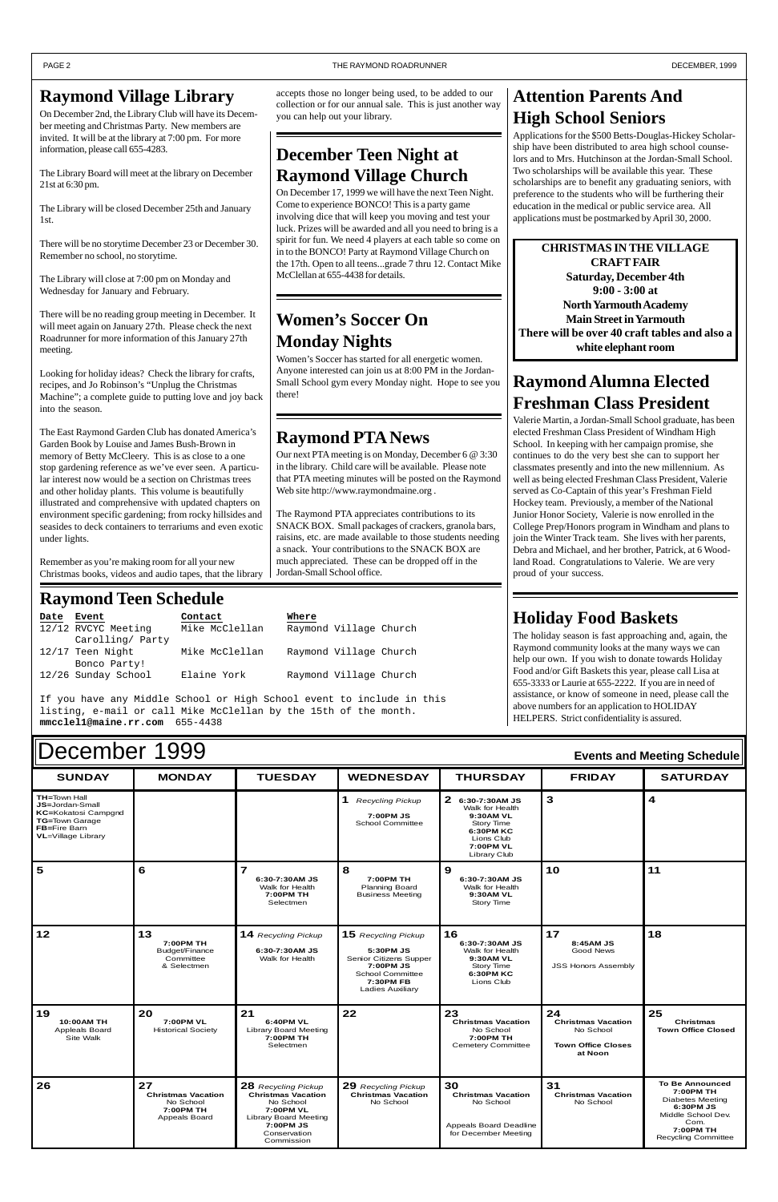#### $\blacksquare$   $\blacksquare$   $\blacksquare$   $\blacksquare$   $\blacksquare$   $\blacksquare$   $\blacksquare$   $\blacksquare$   $\blacksquare$   $\blacksquare$   $\blacksquare$   $\blacksquare$   $\blacksquare$   $\blacksquare$   $\blacksquare$   $\blacksquare$   $\blacksquare$   $\blacksquare$   $\blacksquare$   $\blacksquare$   $\blacksquare$   $\blacksquare$   $\blacksquare$   $\blacksquare$   $\blacksquare$   $\blacksquare$   $\blacksquare$   $\blacksquare$   $\blacksquare$   $\blacksquare$   $\blacksquare$   $\blacksquare$ **TH=**Town Hall **JS=**Jordan-Small **KC=**Kokatosi Campgnd **TG=**Town Garage **FB=**Fire Barn **VL**=Village Library **1** *Recycling Pickup* **7:00PM JS** School Committee **2 6:30-7:30AM JS** Walk for Health **9:30AM VL** Story Time **6:30PM KC** Lions Club **7:00PM VL** Library Club **3 4** 5 6 7 **6:30-7:30AM JS 8 7:00PM TH 9 6:30-7:30AM JS 10 11** December 1999 **Events and Meeting Schedule**

|                                                 |                                                                                   | Walk for Health<br>7:00PM TH<br>Selectmen                                                                                                             | <b>Planning Board</b><br><b>Business Meeting</b>                                                                                           | Walk for Health<br>9:30AM VL<br>Story Time                                                            |                                                                                      |                                                                                                                                                      |
|-------------------------------------------------|-----------------------------------------------------------------------------------|-------------------------------------------------------------------------------------------------------------------------------------------------------|--------------------------------------------------------------------------------------------------------------------------------------------|-------------------------------------------------------------------------------------------------------|--------------------------------------------------------------------------------------|------------------------------------------------------------------------------------------------------------------------------------------------------|
| 12                                              | 13<br>7:00PM TH<br>Budget/Finance<br>Committee<br>& Selectmen                     | <b>14</b> Recycling Pickup<br>6:30-7:30AM JS<br>Walk for Health                                                                                       | 15 Recycling Pickup<br>5:30PM JS<br>Senior Citizens Supper<br>7:00PM JS<br><b>School Committee</b><br>7:30PM FB<br><b>Ladies Auxiliary</b> | 16<br>6:30-7:30AM JS<br>Walk for Health<br>9:30AM VL<br>Story Time<br>6:30PM KC<br>Lions Club         | 17<br>8:45AM JS<br><b>Good News</b><br><b>JSS Honors Assembly</b>                    | 18                                                                                                                                                   |
| 19<br>10:00AM TH<br>Appleals Board<br>Site Walk | 20<br>7:00PM VL<br><b>Historical Society</b>                                      | 21<br>6:40PM VL<br><b>Library Board Meeting</b><br>7:00PM TH<br>Selectmen                                                                             | 22                                                                                                                                         | 23<br><b>Christmas Vacation</b><br>No School<br>7:00PM TH<br><b>Cemetery Committee</b>                | 24<br><b>Christmas Vacation</b><br>No School<br><b>Town Office Closes</b><br>at Noon | 25<br><b>Christmas</b><br><b>Town Office Closed</b>                                                                                                  |
| 26                                              | 27<br><b>Christmas Vacation</b><br>No School<br>7:00PM TH<br><b>Appeals Board</b> | 28 Recycling Pickup<br><b>Christmas Vacation</b><br>No School<br>7:00PM VL<br><b>Library Board Meeting</b><br>7:00PM JS<br>Conservation<br>Commission | 29 Recycling Pickup<br><b>Christmas Vacation</b><br>No School                                                                              | 30<br><b>Christmas Vacation</b><br>No School<br><b>Appeals Board Deadline</b><br>for December Meeting | 31<br><b>Christmas Vacation</b><br>No School                                         | <b>To Be Announced</b><br>7:00PM TH<br><b>Diabetes Meeting</b><br>6:30PM JS<br>Middle School Dev.<br>Com.<br>7:00PM TH<br><b>Recycling Committee</b> |

## **Raymond Teen Schedule**

| Date | Event               | Contact        | Where                  |
|------|---------------------|----------------|------------------------|
|      | 12/12 RVCYC Meeting | Mike McClellan | Raymond Village Church |
|      | Carolling/ Party    |                |                        |
|      | 12/17 Teen Night    | Mike McClellan | Raymond Village Church |
|      | Bonco Party!        |                |                        |
|      | 12/26 Sunday School | Elaine York    | Raymond Village Church |

If you have any Middle School or High School event to include in this listing, e-mail or call Mike McClellan by the 15th of the month. **mmcclel1@maine.rr.com** 655-4438

## **December Teen Night at Raymond Village Church**

On December 17, 1999 we will have the next Teen Night. Come to experience BONCO! This is a party game involving dice that will keep you moving and test your luck. Prizes will be awarded and all you need to bring is a spirit for fun. We need 4 players at each table so come on in to the BONCO! Party at Raymond Village Church on the 17th. Open to all teens...grade 7 thru 12. Contact Mike McClellan at 655-4438 for details.

## **Attention Parents And High School Seniors**

Applications for the \$500 Betts-Douglas-Hickey Scholarship have been distributed to area high school counselors and to Mrs. Hutchinson at the Jordan-Small School. Two scholarships will be available this year. These scholarships are to benefit any graduating seniors, with preference to the students who will be furthering their education in the medical or public service area. All applications must be postmarked by April 30, 2000.

## **Raymond PTA News**

Our next PTA meeting is on Monday, December 6 @ 3:30 in the library. Child care will be available. Please note that PTA meeting minutes will be posted on the Raymond Web site http://www.raymondmaine.org .

The Raymond PTA appreciates contributions to its SNACK BOX. Small packages of crackers, granola bars, raisins, etc. are made available to those students needing a snack. Your contributions to the SNACK BOX are much appreciated. These can be dropped off in the Jordan-Small School office.

## **Raymond Alumna Elected Freshman Class President**

Valerie Martin, a Jordan-Small School graduate, has been elected Freshman Class President of Windham High School. In keeping with her campaign promise, she continues to do the very best she can to support her classmates presently and into the new millennium. As well as being elected Freshman Class President, Valerie served as Co-Captain of this year's Freshman Field Hockey team. Previously, a member of the National Junior Honor Society, Valerie is now enrolled in the College Prep/Honors program in Windham and plans to join the Winter Track team. She lives with her parents, Debra and Michael, and her brother, Patrick, at 6 Woodland Road. Congratulations to Valerie. We are very proud of your success.

## **Raymond Village Library**

On December 2nd, the Library Club will have its December meeting and Christmas Party. New members are invited. It will be at the library at 7:00 pm. For more information, please call 655-4283.

The Library Board will meet at the library on December 21st at 6:30 pm.

The Library will be closed December 25th and January 1st.

There will be no storytime December 23 or December 30. Remember no school, no storytime.

The Library will close at 7:00 pm on Monday and Wednesday for January and February.

There will be no reading group meeting in December. It will meet again on January 27th. Please check the next Roadrunner for more information of this January 27th meeting.

Looking for holiday ideas? Check the library for crafts, recipes, and Jo Robinson's "Unplug the Christmas Machine"; a complete guide to putting love and joy back into the season.

The East Raymond Garden Club has donated America's Garden Book by Louise and James Bush-Brown in memory of Betty McCleery. This is as close to a one stop gardening reference as we've ever seen. A particular interest now would be a section on Christmas trees and other holiday plants. This volume is beautifully illustrated and comprehensive with updated chapters on environment specific gardening; from rocky hillsides and seasides to deck containers to terrariums and even exotic under lights.

Remember as you're making room for all your new Christmas books, videos and audio tapes, that the library

#### accepts those no longer being used, to be added to our collection or for our annual sale. This is just another way you can help out your library.

## **Holiday Food Baskets**

The holiday season is fast approaching and, again, the Raymond community looks at the many ways we can help our own. If you wish to donate towards Holiday Food and/or Gift Baskets this year, please call Lisa at 655-3333 or Laurie at 655-2222. If you are in need of assistance, or know of someone in need, please call the above numbers for an application to HOLIDAY HELPERS. Strict confidentiality is assured.

**CHRISTMAS IN THE VILLAGE CRAFT FAIR Saturday, December 4th 9:00 - 3:00 at North Yarmouth Academy Main Street in Yarmouth There will be over 40 craft tables and also a white elephant room**

## **Women's Soccer On Monday Nights**

Women's Soccer has started for all energetic women. Anyone interested can join us at 8:00 PM in the Jordan-Small School gym every Monday night. Hope to see you there!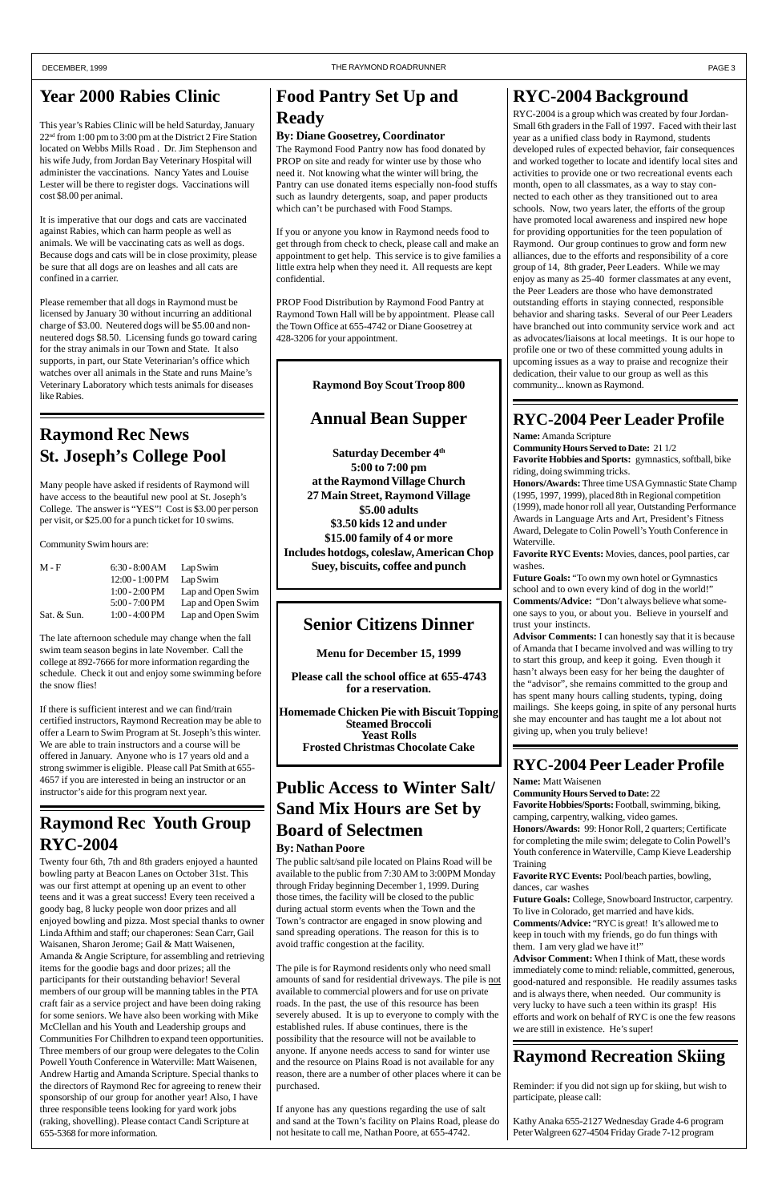## **Year 2000 Rabies Clinic**

This year's Rabies Clinic will be held Saturday, January 22nd from 1:00 pm to 3:00 pm at the District 2 Fire Station located on Webbs Mills Road . Dr. Jim Stephenson and his wife Judy, from Jordan Bay Veterinary Hospital will administer the vaccinations. Nancy Yates and Louise Lester will be there to register dogs. Vaccinations will cost \$8.00 per animal.

It is imperative that our dogs and cats are vaccinated against Rabies, which can harm people as well as animals. We will be vaccinating cats as well as dogs. Because dogs and cats will be in close proximity, please be sure that all dogs are on leashes and all cats are confined in a carrier.

Please remember that all dogs in Raymond must be licensed by January 30 without incurring an additional charge of \$3.00. Neutered dogs will be \$5.00 and nonneutered dogs \$8.50. Licensing funds go toward caring for the stray animals in our Town and State. It also supports, in part, our State Veterinarian's office which watches over all animals in the State and runs Maine's Veterinary Laboratory which tests animals for diseases like Rabies.

## **Food Pantry Set Up and Ready**

#### **By: Diane Goosetrey, Coordinator**

The Raymond Food Pantry now has food donated by PROP on site and ready for winter use by those who need it. Not knowing what the winter will bring, the Pantry can use donated items especially non-food stuffs such as laundry detergents, soap, and paper products which can't be purchased with Food Stamps.

If you or anyone you know in Raymond needs food to get through from check to check, please call and make an appointment to get help. This service is to give families a little extra help when they need it. All requests are kept confidential.

PROP Food Distribution by Raymond Food Pantry at Raymond Town Hall will be by appointment. Please call the Town Office at 655-4742 or Diane Goosetrey at 428-3206 for your appointment.

## **Raymond Recreation Skiing**

Reminder: if you did not sign up for skiing, but wish to participate, please call:

Kathy Anaka 655-2127 Wednesday Grade 4-6 program Peter Walgreen 627-4504 Friday Grade 7-12 program

## **Raymond Rec News St. Joseph's College Pool**

Many people have asked if residents of Raymond will have access to the beautiful new pool at St. Joseph's College. The answer is "YES"! Cost is \$3.00 per person per visit, or \$25.00 for a punch ticket for 10 swims.

Community Swim hours are:

| $6:30 - 8:00 AM$         | Lap Swim          |
|--------------------------|-------------------|
| $12:00 - 1:00 PM$        | Lap Swim          |
| $1:00 - 2:00$ PM         | Lap and Open Swim |
| $5:00 - 7:00 \text{ PM}$ | Lap and Open Swim |
| $1:00 - 4:00 \text{ PM}$ | Lap and Open Swim |
|                          |                   |

The late afternoon schedule may change when the fall swim team season begins in late November. Call the college at 892-7666 for more information regarding the schedule. Check it out and enjoy some swimming before the snow flies!

If there is sufficient interest and we can find/train certified instructors, Raymond Recreation may be able to offer a Learn to Swim Program at St. Joseph's this winter. We are able to train instructors and a course will be offered in January. Anyone who is 17 years old and a strong swimmer is eligible. Please call Pat Smith at 655- 4657 if you are interested in being an instructor or an instructor's aide for this program next year.

## **Raymond Rec Youth Group RYC-2004**

Twenty four 6th, 7th and 8th graders enjoyed a haunted bowling party at Beacon Lanes on October 31st. This was our first attempt at opening up an event to other teens and it was a great success! Every teen received a goody bag, 8 lucky people won door prizes and all enjoyed bowling and pizza. Most special thanks to owner Linda Afthim and staff; our chaperones: Sean Carr, Gail Waisanen, Sharon Jerome; Gail & Matt Waisenen, Amanda & Angie Scripture, for assembling and retrieving items for the goodie bags and door prizes; all the participants for their outstanding behavior! Several members of our group will be manning tables in the PTA craft fair as a service project and have been doing raking for some seniors. We have also been working with Mike McClellan and his Youth and Leadership groups and Communities For Chilhdren to expand teen opportunities. Three members of our group were delegates to the Colin Powell Youth Conference in Waterville: Matt Waisenen, Andrew Hartig and Amanda Scripture. Special thanks to the directors of Raymond Rec for agreeing to renew their sponsorship of our group for another year! Also, I have three responsible teens looking for yard work jobs (raking, shovelling). Please contact Candi Scripture at 655-5368 for more information.

## **Senior Citizens Dinner**

**Menu for December 15, 1999**

**Please call the school office at 655-4743 for a reservation.**

**Homemade Chicken Pie with Biscuit Topping Steamed Broccoli Yeast Rolls Frosted Christmas Chocolate Cake**

## **RYC-2004 Peer Leader Profile**

**Name:** Matt Waisenen

**Community Hours Served to Date:** 22

**Favorite Hobbies/Sports:** Football, swimming, biking, camping, carpentry, walking, video games.

**Honors/Awards:** 99: Honor Roll, 2 quarters; Certificate for completing the mile swim; delegate to Colin Powell's Youth conference in Waterville, Camp Kieve Leadership Training

**Favorite RYC Events:** Pool/beach parties, bowling,

dances, car washes

**Future Goals:** College, Snowboard Instructor, carpentry. To live in Colorado, get married and have kids. **Comments/Advice:** "RYC is great! It's allowed me to keep in touch with my friends, go do fun things with them. I am very glad we have it!"

**Advisor Comment:** When I think of Matt, these words immediately come to mind: reliable, committed, generous, good-natured and responsible. He readily assumes tasks and is always there, when needed. Our community is very lucky to have such a teen within its grasp! His efforts and work on behalf of RYC is one the few reasons we are still in existence. He's super!

## **RYC-2004 Peer Leader Profile**

**Name:** Amanda Scripture

**Community Hours Served to Date:** 21 1/2 **Favorite Hobbies and Sports:** gymnastics, softball, bike riding, doing swimming tricks.

**Honors/Awards:** Three time USA Gymnastic State Champ (1995, 1997, 1999), placed 8th in Regional competition (1999), made honor roll all year, Outstanding Performance Awards in Language Arts and Art, President's Fitness Award, Delegate to Colin Powell's Youth Conference in Waterville.

**Favorite RYC Events:** Movies, dances, pool parties, car washes.

**Future Goals:** "To own my own hotel or Gymnastics school and to own every kind of dog in the world!" **Comments/Advice:** "Don't always believe what someone says to you, or about you. Believe in yourself and trust your instincts.

**Advisor Comments:** I can honestly say that it is because of Amanda that I became involved and was willing to try to start this group, and keep it going. Even though it hasn't always been easy for her being the daughter of the "advisor", she remains committed to the group and has spent many hours calling students, typing, doing mailings. She keeps going, in spite of any personal hurts she may encounter and has taught me a lot about not giving up, when you truly believe!

## **RYC-2004 Background**

RYC-2004 is a group which was created by four Jordan-Small 6th graders in the Fall of 1997. Faced with their last year as a unified class body in Raymond, students developed rules of expected behavior, fair consequences and worked together to locate and identify local sites and activities to provide one or two recreational events each month, open to all classmates, as a way to stay connected to each other as they transitioned out to area schools. Now, two years later, the efforts of the group have promoted local awareness and inspired new hope for providing opportunities for the teen population of Raymond. Our group continues to grow and form new alliances, due to the efforts and responsibility of a core group of 14, 8th grader, Peer Leaders. While we may enjoy as many as 25-40 former classmates at any event, the Peer Leaders are those who have demonstrated outstanding efforts in staying connected, responsible behavior and sharing tasks. Several of our Peer Leaders have branched out into community service work and act as advocates/liaisons at local meetings. It is our hope to profile one or two of these committed young adults in upcoming issues as a way to praise and recognize their dedication, their value to our group as well as this community... known as Raymond.

## **Public Access to Winter Salt/ Sand Mix Hours are Set by Board of Selectmen**

## **By: Nathan Poore**

The public salt/sand pile located on Plains Road will be available to the public from 7:30 AM to 3:00PM Monday through Friday beginning December 1, 1999. During those times, the facility will be closed to the public during actual storm events when the Town and the Town's contractor are engaged in snow plowing and sand spreading operations. The reason for this is to avoid traffic congestion at the facility.

The pile is for Raymond residents only who need small amounts of sand for residential driveways. The pile is not available to commercial plowers and for use on private roads. In the past, the use of this resource has been severely abused. It is up to everyone to comply with the established rules. If abuse continues, there is the possibility that the resource will not be available to anyone. If anyone needs access to sand for winter use and the resource on Plains Road is not available for any reason, there are a number of other places where it can be purchased.

If anyone has any questions regarding the use of salt and sand at the Town's facility on Plains Road, please do not hesitate to call me, Nathan Poore, at 655-4742.

**Raymond Boy Scout Troop 800**

## **Annual Bean Supper**

**Saturday December 4th 5:00 to 7:00 pm at the Raymond Village Church 27 Main Street, Raymond Village \$5.00 adults \$3.50 kids 12 and under \$15.00 family of 4 or more Includes hotdogs, coleslaw, American Chop Suey, biscuits, coffee and punch**